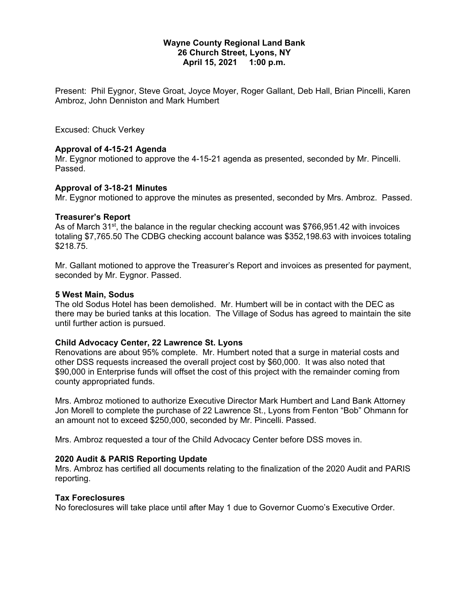#### **Wayne County Regional Land Bank 26 Church Street, Lyons, NY April 15, 2021 1:00 p.m.**

Present: Phil Eygnor, Steve Groat, Joyce Moyer, Roger Gallant, Deb Hall, Brian Pincelli, Karen Ambroz, John Denniston and Mark Humbert

Excused: Chuck Verkey

# **Approval of 4-15-21 Agenda**

Mr. Eygnor motioned to approve the 4-15-21 agenda as presented, seconded by Mr. Pincelli. Passed.

# **Approval of 3-18-21 Minutes**

Mr. Eygnor motioned to approve the minutes as presented, seconded by Mrs. Ambroz. Passed.

#### **Treasurer's Report**

As of March 31<sup>st</sup>, the balance in the regular checking account was \$766,951.42 with invoices totaling \$7,765.50 The CDBG checking account balance was \$352,198.63 with invoices totaling \$218.75.

Mr. Gallant motioned to approve the Treasurer's Report and invoices as presented for payment, seconded by Mr. Eygnor. Passed.

#### **5 West Main, Sodus**

The old Sodus Hotel has been demolished. Mr. Humbert will be in contact with the DEC as there may be buried tanks at this location. The Village of Sodus has agreed to maintain the site until further action is pursued.

#### **Child Advocacy Center, 22 Lawrence St. Lyons**

Renovations are about 95% complete. Mr. Humbert noted that a surge in material costs and other DSS requests increased the overall project cost by \$60,000. It was also noted that \$90,000 in Enterprise funds will offset the cost of this project with the remainder coming from county appropriated funds.

Mrs. Ambroz motioned to authorize Executive Director Mark Humbert and Land Bank Attorney Jon Morell to complete the purchase of 22 Lawrence St., Lyons from Fenton "Bob" Ohmann for an amount not to exceed \$250,000, seconded by Mr. Pincelli. Passed.

Mrs. Ambroz requested a tour of the Child Advocacy Center before DSS moves in.

# **2020 Audit & PARIS Reporting Update**

Mrs. Ambroz has certified all documents relating to the finalization of the 2020 Audit and PARIS reporting.

#### **Tax Foreclosures**

No foreclosures will take place until after May 1 due to Governor Cuomo's Executive Order.